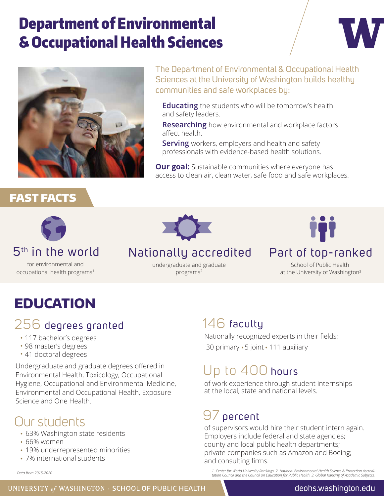# Department of Environmental & Occupational Health Sciences





The Department of Environmental & Occupational Health Sciences at the University of Washington builds healthy communities and safe workplaces by:

**Educating** the students who will be tomorrow's health and safety leaders.

**Researching** how environmental and workplace factors affect health.

**Serving** workers, employers and health and safety professionals with evidence-based health solutions.

**Our goal:** Sustainable communities where everyone has access to clean air, clean water, safe food and safe workplaces.

#### FAST FACTS



#### 5th in the world

for environmental and occupational health programs<sup>1</sup>



#### Nationally accredited

undergraduate and graduate programs2

#### Part of top-ranked

School of Public Health at the University of Washington<sup>3</sup>

## **EDUCATION**

#### 256 degrees granted

- 117 bachelor's degrees
- 98 master's degrees
- 41 doctoral degrees

Undergraduate and graduate degrees offered in Environmental Health, Toxicology, Occupational Hygiene, Occupational and Environmental Medicine, Environmental and Occupational Health, Exposure Science and One Health.

## Our students

- 63% Washington state residents
- 66% women
- 19% underrepresented minorities
- 7% international students

*Data from 2015-2020*

#### 146 faculty

Nationally recognized experts in their fields: 30 primary · 5 joint · 111 auxiliary

#### Up to 400 hours

of work experience through student internships at the local, state and national levels.

## 97 percent

of supervisors would hire their student intern again. Employers include federal and state agencies; county and local public health departments; private companies such as Amazon and Boeing; and consulting firms.

1. Center for World University Rankings. 2. National Environmental Health Science & Protection Accredi-<br>tation Council and the Council on Education for Public Health. 3. Global Ranking of Academic Subjects.<br>-